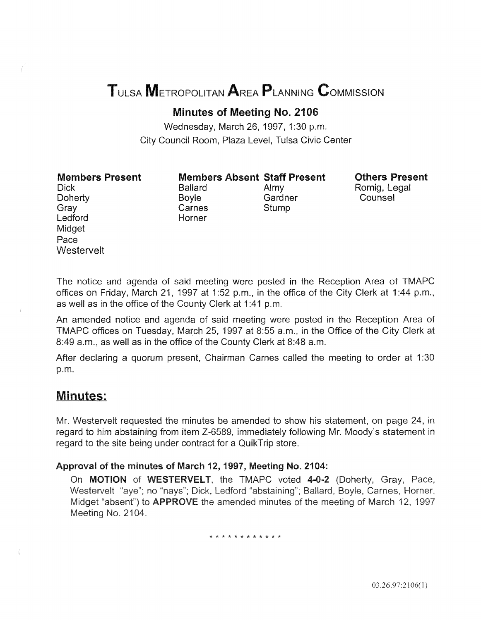# TULSA METROPOLITAN AREA PLANNING CoMMISSION

Minutes of Meeting No. 2106

Wednesday, March 26, 1997, 1:30 p.m. City Council Room, Plaza Level, Tulsa Civic Center

Members Present

Members Absent Staff Present Ballard Almy

Boyle Gardner Carnes Stump

Others Present Romig, Legal Counsel

Dick **Doherty** Gray Ledford Midget Pace **Westervelt** 

The notice and agenda of said meeting were posted in the Reception Area of TMAPC offices on Friday, March 21, 1997 at 1:52 p.m., in the office of the City Clerk at 1:44 p.m., as well as in the office of the County Clerk at 1:41 p.m.

An amended notice and agenda of said meeting were posted in the Reception Area of TMAPC offices on Tuesday, March 25, 1997 at 8:55 a.m., in the Office of the City Clerk at 8:49 a.m., as well as in the office of the County Clerk at 8:48 a.m.

After declaring a quorum present, Chairman Carnes called the meeting to order at 1:30 p.m.

# Minutes:

Mr. Westervelt requested the minutes be amended to show his statement, on page 24, in regard to him abstaining from item Z-6589, immediately following Mr. Moody's statement regard to the site being under contract for a QuikTrip store.

## Approval of the minutes of March 12, 1997, Meeting No. 2104:

Horner

On MOTION of WESTERVELT, the TMAPC voted 4-0-2 (Doherty, Gray, Pace, Westervelt "aye"; no "nays"; Dick, Ledford "abstaining"; Ballard, Boyle, Carnes, Horner, Midget "absent") to **APPROVE** the amended minutes of the meeting of March 12, 1997 Meeting No. 2104.

\* \* \* \* \* \* \* \* \* \* \* \*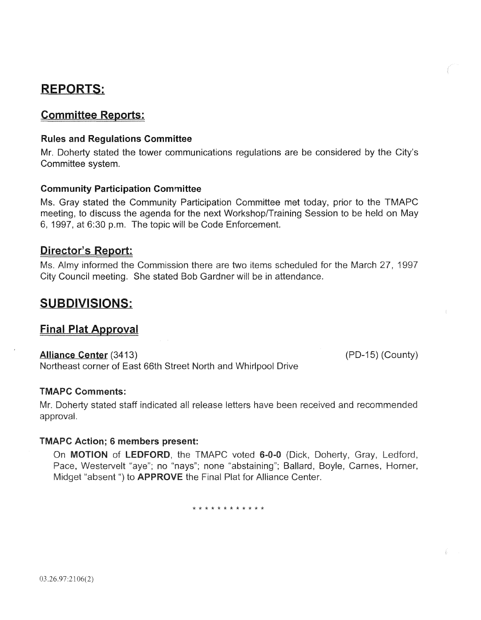# **REPORTS:**

## Committee Reports:

## Rules and Regulations Committee

Mr. Doherty stated the tower communications regulations are be considered by the City's Committee system.

## Community Participation Committee

Ms. Gray stated the Community Participation Committee met today, prior to the TMAPC meeting, to discuss the agenda for the next Workshop/Training Session to be held on May 6, 1997, at 6:30 p.m. The topic will be Code Enforcement.

## Director's Report:

informed the Commission there are two items scheduled for the March 27, 19 City Council meeting. She stated Bob Gardner will be in attendance.

# SUBDIVISIONS:

## Final Plat Approval

## Alliance Center (3413)

Northeast corner of East 66th Street North and Whirlpool

## TMAPC Comments:

Mr. Doherty stated staff indicated all approval.

(PD-15) (County)

## **TMAPC Action; 6 members present:**

On MOTION of LEDFORD, the TMAPC voted 6-0-0 (Dick, Doherty, Gray, Ledford, Pace, Westervelt "aye"; no "nays"; none "abstaining"; Ballard, Boyle, Carnes, Horner, Midget "absent") to APPROVE the Final Plat for Alliance Center.

\* \* \* \* \* \* \* \* \* \* \* \*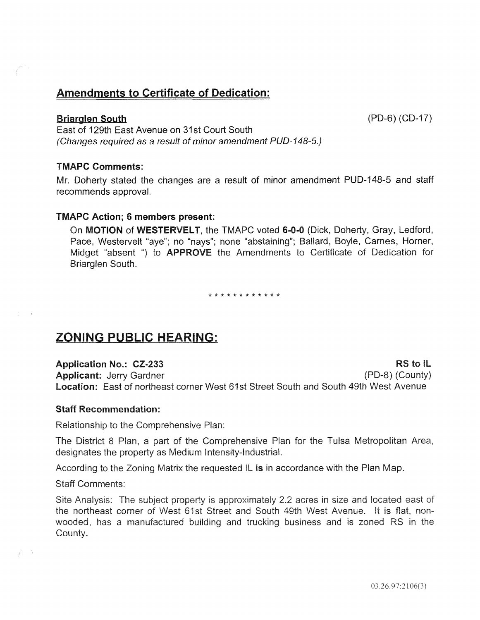# Amendments to Certificate of Dedication:

#### Briarglen South (PD-6) (CD-17)

East of 129th East Avenue on 31st Court South (Changes required as a result of minor amendment PUD-148-5.)

#### TMAPC Comments:

Mr. Doherty stated the changes are a result of minor amendment PUD-148-5 and staff recommends approval.

#### TMAPC Action; 6 members present:

On MOTION of WESTERVELT, the TMAPC voted 6-0-0 (Dick, Doherty, Gray, Ledford, Pace, Westervelt "aye"; no "nays"; none "abstaining"; Ballard, Boyle, Carnes, Horner, Midget "absent ") to APPROVE the Amendments to Certificate of Dedication for Briarglen South.

\* \* \* \* \* \* \* \* \* \* \* \*

# ZONING PUBLIC HEARING:

Application No.: CZ-233 RS to IL Applicant: Jerry Gardner (PD-8) (County) **Location:** East of northeast corner West 61st Street South and South 49th West Avenue

#### Staff Recommendation:

Relationship to the Comprehensive Plan:

The District 8 Plan, a part of the Comprehensive Pian for the Tulsa Metropolitan Area, designates the property as Medium Intensity-Industrial.

According to the Zoning Matrix the requested IL is in accordance with the Plan Map.

**Staff Comments:** 

Site Analysis: The subject property is approximately 2.2 acres in size and located east of corner of West 61st Street and South 49th West Avenue. It is flat, nonwooded, has a manufactured building and trucking business and is zoned RS in County.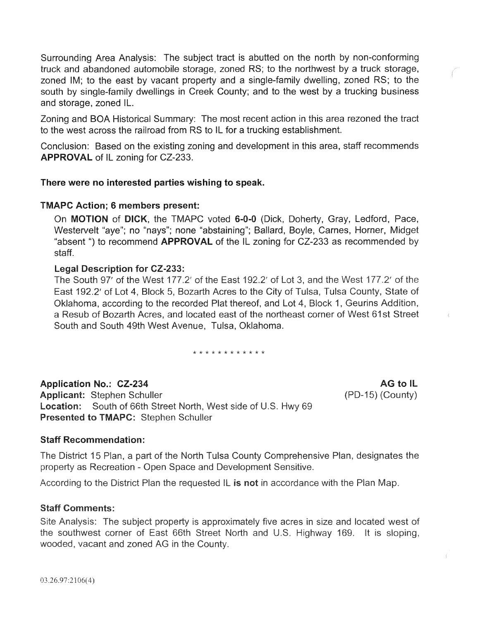Surrounding Area Analysis: The subject tract is abutted on the north by non-conforming truck and abandoned automobile storage, zoned RS; to the northwest by a truck storage, zoned IM; to the east by vacant property and a single-family dwelling, zoned RS; to the south by single-family dwellings in Creek County; and to the west by a trucking business and storage, zoned IL.

Zoning and BOA Historical Summary: The most recent action in this area rezoned the tract to the west across the railroad from RS to IL for a trucking establishment.

Conclusion: Based on the existing zoning and development in this area, staff recommends APPROVAL of IL zoning for CZ-233.

#### There were no interested parties wishing to speak.

#### TMAPC Action; 6 members present:

On **MOTION** of **DICK**, the TMAPC voted 6-0-0 (Dick, Doherty, Gray, Ledford, Pace, Westervelt "aye"; no "nays"; none "abstaining"; Ballard, Boyle, Carnes, Horner, Midget "absent") to recommend **APPROVAL** of the IL zoning for CZ-233 as recommended by staff.

#### Legal Description for CZ-233:

The South 97' of the West 177.2' of the East 192.2' of Lot 3, and the West 177.2' of the East 192.2' of Lot 4, Block 5, Bozarth Acres to the City of Tulsa, Tulsa County, State of Oklahoma, according to the recorded Plat thereof, and Lot 4, Block 1, Geurins Addition, a Resub of Bozarth Acres, and located east of the northeast corner of West 61st Street South and South 49th West Avenue, Tulsa, Oklahoma.

\* \* \* \* \* \* \* \* \* \* \* \*

Application No.: CZ-234 Applicant: Stephen Schuller Location: South of 66th Street North, West side of U. **Presented to TMAPC: Stephen Schuller** 

**AG to IL** (PD-15) (County)

## Staff Recommendation:

The District 15 Plan, a part of the North Tulsa County Comprehensive Plan, designates the property as Recreation - Open Space and Development Sensitive.

According to the District Plan the requested IL is not in accordance with the Plan Map.

## **Staff Comments:**

Site Analysis: The subject property is approximately five acres in size and located west of the southwest corner of East 66th Street North and U.S. Highway 169. It is sloping, wooded, vacant and zoned AG in the County.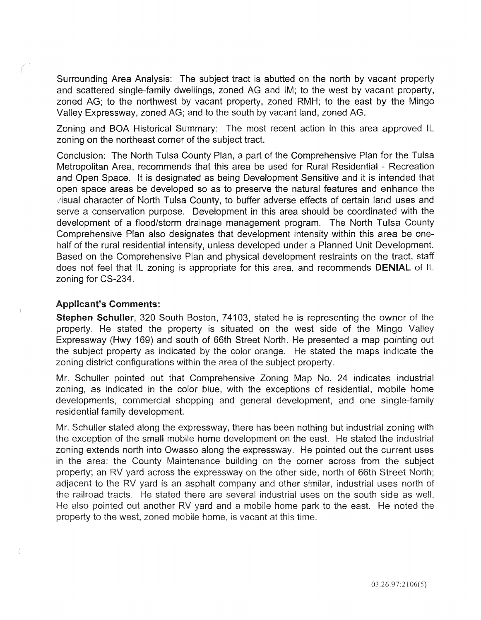Surrounding Area Analysis: The subject tract is abutted on the north by vacant property and scattered single-family dwellings, zoned AG and IM; to the west by vacant property, zoned AG; to the northwest by vacant property, zoned RMH; to the east by the Mingo Valley Expressway, zoned AG; and to the south by vacant land, zoned AG.

Zoning and BOA Historical Summary: The most recent action in this area approved IL zoning on the northeast corner of the subject tract.

Conclusion: The North Tulsa County Plan, a part of the Comprehensive Plan for the Tulsa Metropolitan Area, recommends that this area be used for Rural Residential - Recreation and Open Space. It is designated as being Development Sensitive and it is intended that open space areas be developed so as to preserve the natural features and enhance the ,'isual character of North Tulsa County, to buffer adverse effects of certain land uses and serve a conservation purpose. Development in this area should be coordinated with the development of a flood/storm drainage management program. The North Tulsa County Comprehensive Plan also designates that development intensity within this area be onehalf of the rural residential intensity, unless developed under a Planned Unit Development. Based on the Comprehensive Plan and physical development restraints on the tract, staff does not feel that IL zoning is appropriate for this area, and recommends DENIAL of IL zoning for CS-234.

#### Applicant's Comments:

Stephen Schuller, 320 South Boston, 74103, stated he is representing the owner of the property. He stated the property is situated on the west side of the Mingo Valley Expressway (Hwy 169) and south of 66th Street North. He presented a map pointing out the subject property as indicated by the color orange. He stated the maps indicate the zoning district configurations within the area of the subject property.

Mr. Schuller pointed out that Comprehensive Zoning Map No. 24 indicates industrial zoning, as indicated in the color blue, with the exceptions of residential, mobile home developments, commercial shopping and general development, and one single-family residential family development.

Mr. Schuller stated along the expressway, there has been nothing but industrial zoning with the exception of the small mobile home development on the east. He stated the industrial zoning extends north into Owasso along the expressway. He pointed out the current uses in the area: the County Maintenance building on the corner across from the subject property; an RV yard across the expressway on the other side, north of 66th Street North; adjacent to the RV yard is an asphalt company and other similar, industrial uses north of the railroad tracts. He stated there are several industrial uses on the south side as well. He also pointed out another RV yard and a mobile home park to the east. He noted the property to the west, zoned mobile home, is vacant at this time.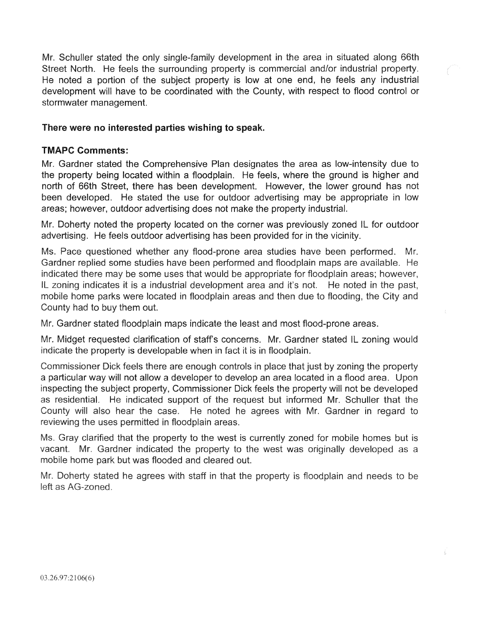Mr. Schuller stated the only single-family development in the area in situated along 66th Street North. He feels the surrounding property is commercial and/or industrial property. He noted a portion of the subject property is low at one end, he feels any industrial development will have to be coordinated with the County, with respect to flood control or stormwater management.

## There were no interested parties wishing to speak.

## TMAPC Comments:

Mr. Gardner stated the Comprehensive Plan designates the area as low-intensity due to the property being located within a floodplain. He feels, where the ground is higher and north of 66th Street, there has been development. However, the lower ground has not been developed. He stated the use for outdoor advertising may be appropriate in low areas; however, outdoor advertising does not make the property industrial.

Mr. Doherty noted the property located on the corner was previously zoned IL for outdoor advertising. He feels outdoor advertising has been provided for in the vicinity.

Ms. Pace questioned whether any flood-prone area studies have been performed. Mr. Gardner replied some studies have been performed and floodplain maps are available. indicated there may be some uses that would be appropriate for floodplain areas; however, IL zoning indicates it is a industrial development area and it's not. He noted in the past, mobile home parks were located in floodplain areas and then due to flooding, the City and County had to buy them out.

Mr. Gardner stated floodplain maps indicate the least and most flood-prone areas.

Mr. Midget requested clarification of staffs concerns. Mr. Gardner stated IL zoning would indicate the property is developable when in fact it is in floodplain.

Commissioner Dick feels there are enough controls in place that just by zoning the property a particular way will not allow a developer to develop an area located in a flood area. U inspecting the subject property, Commissioner Dick feels the property will not be developed as residential. He indicated support of the request but informed Mr. Schuller that the County will also hear the case. He noted he agrees with Mr. Gardner in regard to reviewing the uses permitted in floodplain areas.

Ms. Gray clarified that the property to the west is currently zoned for mobile homes but is vacant. Mr. Gardner indicated the property to the west was originally developed as a mobile home park but was flooded and cleared out.

Mr. Doherty stated he agrees with staff in that the property is floodplain and needs to be left as AG-zoned.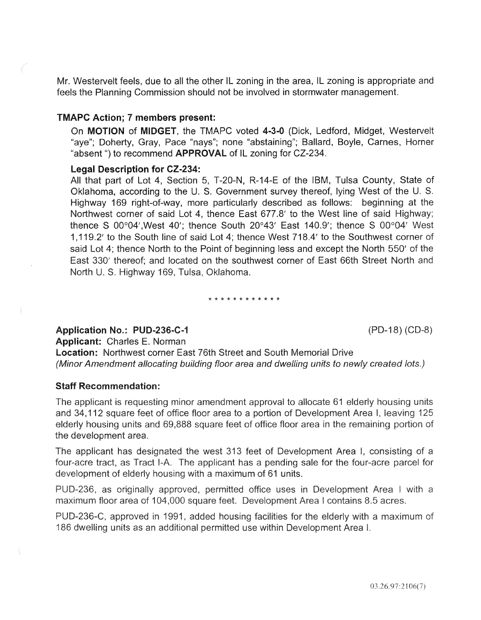Mr. Westervelt feels, due to all the other IL zoning in the area, IL zoning is appropriate and feels the Planning Commission should not be involved in stormwater management.

#### TMAPC Action; 7 members present:

On MOTION of MIDGET, the TMAPC voted 4-3-0 (Dick, Ledford, Midget, Westervelt "aye"; Doherty, Gray, Pace "nays"; none "abstaining"; Ballard, Boyle, Carnes, Horner "absent") to recommend **APPROVAL** of IL zoning for CZ-234.

#### Legal Description for CZ-234:

All that part of Lot 4, Section 5, T-20-N, R-14-E of the IBM, Tulsa County, State of Oklahoma, according to the U. S. Government survey thereof, lying West of the U. S. Highway 169 right-of-way, more particularly described as follows: beginning at the Northwest corner of said Lot 4, thence East 677.8' to the West line of said Highway; thence S 00°04',West 40'; thence South 20°43' East 140.9'; thence S 00°04' West 1, 119.2' to the South line of said Lot 4; thence West 718.4' to the Southwest corner of said Lot 4; thence North to the Point of beginning less and except the North 550' of the East 330' thereof; and located on the southwest corner of East 66th Street North and North U. S. Highway 169, Tulsa, Oklahoma.

#### \* \* \* \* \* \* \* \* \* \* \* \*

#### Application No.: PUD-236-C-1 (PD-18) (CD-8)

Applicant: Charles E. Norman

**Location:** Northwest corner East 76th Street and South Memorial Drive (Minor Amendment allocating building floor area and dwelling units to newly created lots.)

#### Staff Recommendation:

The applicant is requesting minor amendment approval to allocate 61 elderly housing units and 34,112 square feet of office floor area to a portion of Development Area I, leaving 125 elderly housing units and 69,888 square feet of office floor area in the remaining portion of the development area.

The applicant has designated the west 313 feet of Development Area I, consisting of a four-acre tract, as Tract I-A. The applicant has a pending sale for the four-acre parcel for development of elderly housing with a maximum of 61 units.

PUD-236, as originally approved, permitted office uses in Development Area I with a maximum floor area of 104,000 square feet. Development Area I contains 8.5 acres.

PUD-236-C, approved in 1991, added housing facilities for the elderly with a maximum of 186 dwelling units as an additional permitted use within Development Area I.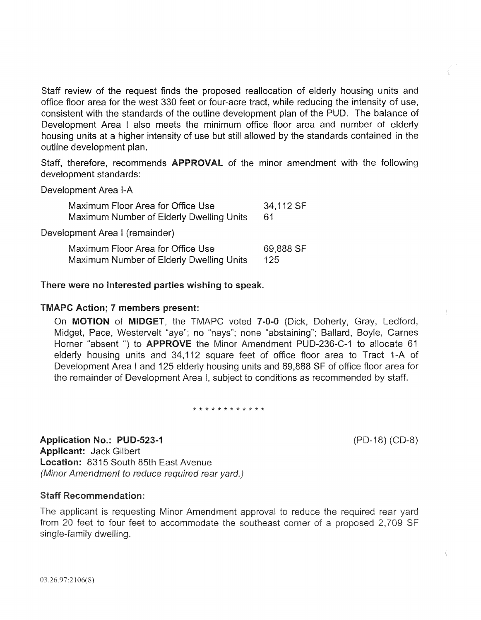Staff review of the request finds the proposed reallocation of elderly housing units and office floor area for the west 330 feet or four-acre tract, while reducing the intensity of use, consistent with the standards of the outline development plan of the PUD. The balance of Development Area I also meets the minimum office floor area and number of elderly housing units at a higher intensity of use but still allowed by the standards contained in the outline development plan.

Staff, therefore, recommends **APPROVAL** of the minor amendment with the following development standards:

Development Area 1-A

| Maximum Floor Area for Office Use        | 34,112 SF |
|------------------------------------------|-----------|
| Maximum Number of Elderly Dwelling Units | 61        |
| Development Area I (remainder)           |           |
| Maximum Floor Area for Office Use        | 69,888 SF |
| Maximum Number of Elderly Dwelling Units | 125       |

#### There were no interested parties wishing to speak.

#### TMAPC Action; 7 members present:

On MOTION of MIDGET, the TMAPC voted 7-0-0 (Dick, Doherty, Gray, Ledford, Midget, Pace, Westervelt "aye"; no "nays"; none "abstaining"; Ballard, Boyle, Carnes Horner "absent ") to **APPROVE** the Minor Amendment PUD-236-C-1 to allocate 61 elderly housing units and 34,112 square feet of office floor area to Tract 1-A of Development Area I and 125 elderly housing units and 69,888 SF of office floor area for the remainder of Development Area I, subject to conditions as recommended

\* \* \* \* \* \* \* \* \* \* \* \*

Application No.: PUD-523-1 Applicant: Jack Gilbert Location: 8315 South 85th East Avenue (Minor Amendment to reduce required rear yard.)

#### **Staff Recommendation:**

The applicant is requesting Minor Amendment approval to reduce the required rear yard from 20 feet to four feet to accommodate the southeast corner of a proposed 2,709 SF single-family dwelling.

 $(PD-18) (CD-8)$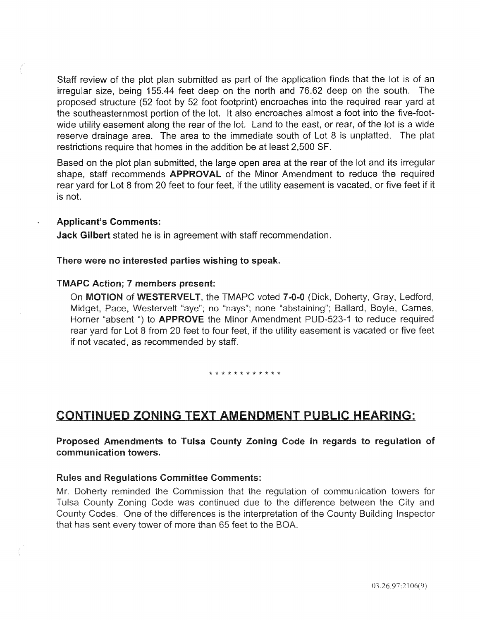Staff review of the plot plan submitted as part of the application finds that the lot is of an irregular size, being 155.44 feet deep on the north and 76.62 deep on the south. The proposed structure (52 foot by 52 foot footprint) encroaches into the required rear yard at the southeasternmost portion of the lot. It also encroaches almost a foot into the five-footwide utility easement along the rear of the lot. Land to the east, or rear, of the lot is a wide reserve drainage area. The area to the immediate south of Lot 8 is unplatted. The plat restrictions require that homes in the addition be at least 2,500 SF.

Based on the plot plan submitted, the large open area at the rear of the lot and its irregular shape, staff recommends **APPROVAL** of the Minor Amendment to reduce the required rear yard for Lot 8 from 20 feet to four feet, if the utility easement is vacated, or five feet if it is not.

#### Applicant's Comments:

Jack Gilbert stated he is in agreement with staff recommendation.

#### There were no interested parties wishing to speak.

#### TMAPC Action; 7 members present:

On MOTION of WESTERVELT, the TMAPC voted 7-0-0 (Dick, Doherty, Gray, Ledford, Midget, Pace, Westervelt "aye"; no "nays"; none "abstaining"; Ballard, Boyle, Carnes, Horner "absent ") to **APPROVE** the Minor Amendment PUD-523-1 to reduce required rear yard for Lot 8 from 20 feet to four feet, if the utility easement is vacated or five feet if not vacated, as recommended by staff.

#### \* \* \* \* \* \* \* \* \* \* \*

# CONTINUED ZONING TEXT AMENDMENT PUBLIC HEARING:

Proposed Amendments to Tulsa County Zoning Code in regards to regulation of communication towers.

#### **Rules and Regulations Committee Comments:**

the Commission that the regulation of communication Zoning Code was continued due to the difference between the One of the differences is the interpretation of the County Building Ir that has sent every tower of more than 65 feet to the BOA.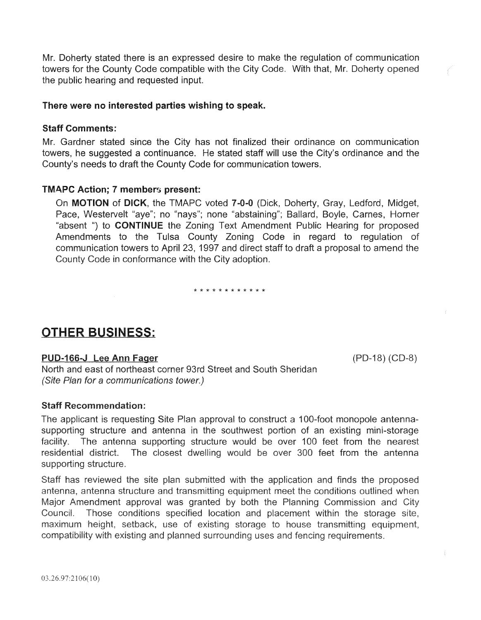Mr. Doherty stated there is an expressed desire to make the regulation of communication towers for the County Code compatible with the City Code. With that, Mr. Doherty opened the public hearing and requested input.

#### There were no interested parties wishing to speak.

#### Staff Comments:

Mr. Gardner stated since the City has not finalized their ordinance on communication towers, he suggested a continuance. He stated staff will use the City's ordinance and the County's needs to draft the County Code for communication towers.

#### **TMAPC Action: 7 members present:**

On MOTION of DICK, the TMAPC voted 7-0-0 (Dick, Doherty, Gray, Ledford, Midget, Pace, Westervelt "aye"; no "nays"; none "abstaining"; Ballard, Boyle, Carnes, Horner "absent ") to CONTINUE the Zoning Text Amendment Public Hearing for proposed Amendments to the Tulsa County Zoning Code in regard to regulation of communication towers to April 23, 1997 and direct staff to draft a proposal to amend the County Code in conformance with the City adoption.

#### \* \* \* \* \* \* \* \* \* \* \* \*

# **OTHER BUSINESS:**

#### PUD-166-J Lee Ann Fager

 $(PD-18) (CD-8)$ 

North and east of northeast corner 93rd Street and South Sheridan (Site Plan for a communications tower.)

#### **Staff Recommendation:**

The applicant is requesting Site Plan approval to construct a 100-foot monopole antennasupporting structure and antenna in the southwest portion of an existing mini-storage facility. The antenna supporting structure would be over 100 feet from the nearest residential district. The closest dwelling would be over 300 feet from the antenna supporting structure.

Staff has reviewed the site plan submitted with the application and finds the proposed antenna, antenna structure and transmitting equipment meet the conditions outlined when Major Amendment approval was granted by both the Planning Commission and City Council. Those conditions specified location and placement within the storage site. maximum height, setback, use of existing storage to house transmitting equipment, compatibility with existing and planned surrounding uses and fencing requirements.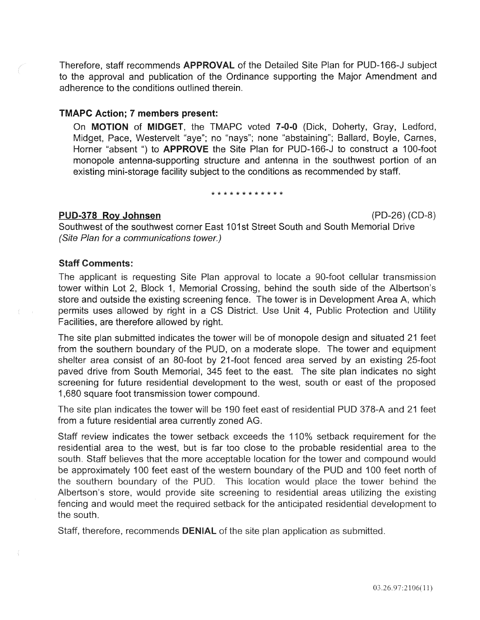Therefore, staff recommends APPROVAL of the Detailed Site Plan for PUD-166-J subject to the approval and publication of the Ordinance supporting the Major Amendment and adherence to the conditions outlined therein.

#### TMAPC Action; 7 members present:

On MOTION of MIDGET, the TMAPC voted 7-0-0 (Dick, Doherty, Gray, Ledford, Midget, Pace, Westervelt "aye"; no "nays"; none "abstaining"; Ballard, Boyle, Carnes, Horner "absent ") to **APPROVE** the Site Plan for PUD-166-J to construct a 100-foot monopole antenna-supporting structure and antenna in the southwest portion of an existing mini-storage facility subject to the conditions as recommended by staff.

#### \* \* \* \* \* \* \* \* \* \* \* \*

#### PUD-378 Roy **Johnsen** (PD-26) (CD-8)

Southwest of the southwest corner East 101st Street South and South Memorial Drive (Site Plan for a communications tower.)

#### Staff Comments:

The applicant is requesting Site Plan approval to locate a 90-foot cellular transmission tower within Lot 2, Block 1, Memorial Crossing, behind the south side of the Albertson's store and outside the existing screening fence. The tower is in Development Area A, which permits uses allowed by right in a CS District. Use Unit 4, Public Protection and Utility Facilities, are therefore allowed by right.

The site plan submitted indicates the tower will be of monopole design and situated 21 feet from the southern boundary of the PUD, on a moderate slope. The tower and equipment shelter area consist of an 80-foot by 21-foot fenced area served by an existing 25-foot paved drive from South Memorial, 345 feet to the east. The site plan indicates no sight screening for future residential development to the west, south or east of the proposed 1 ,680 square foot transmission tower compound.

The site plan indicates the tower will be 190 feet east of residential PUD 378-A and 21 feet from a future residential area currently zoned AG.

Staff review indicates the tower setback exceeds the 110% setback requirement for the residential area to the west, but is far too close to the probable residential area to the south. Staff believes that the more acceptable location for the tower and compound would be approximately 100 feet east of the western boundary of the PUD and 100 feet north of the southern boundary of the PUD. This location would place the tower behind the Albertson's store, would provide site screening to residential areas utilizing the existing fencing and would meet the required setback for the anticipated residential development to the south.

Staff, therefore, recommends **DENIAL** of the site plan application as submitted.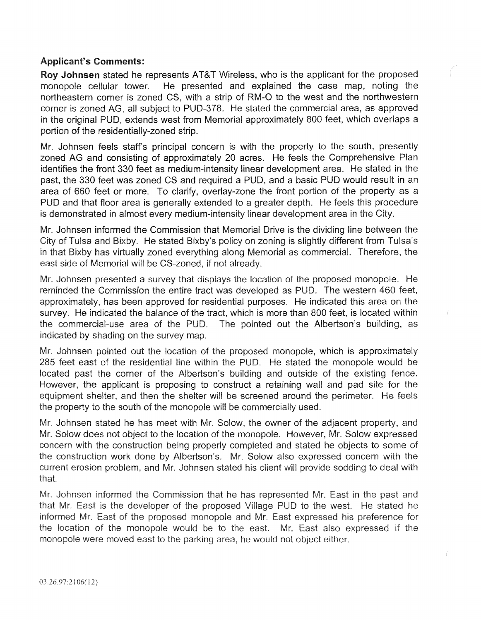## Applicant's Comments:

Roy Johnsen stated he represents AT&T Wireless, who is the applicant for the proposed monopole cellular tower. He presented and explained the case map, noting the northeastern corner is zoned CS, with a strip of RM-0 to the west and the northwestern corner is zoned AG, all subject to PUD-378. He stated the commercial area, as approved in the original PUD, extends west from Memorial approximately 800 feet, which overlaps a portion of the residentially-zoned strip.

Mr. Johnsen feels staffs principal concern is with the property to the south, presently zoned AG and consisting of approximately 20 acres. He feels the Comprehensive Plan identifies the front 330 feet as medium-intensity linear development area. He stated in the past, the 330 feet was zoned CS and required a PUD, and a basic PUD would result in an area of 660 feet or more. To clarify, overlay-zone the front portion of the property as a PUD and that floor area is generally extended to a greater depth. He feels this procedure is demonstrated in almost every medium-intensity linear development area in the City.

Mr. Johnsen informed the Commission that Memorial Drive is the dividing line between the City of Tulsa and Bixby. He stated Bixby's policy on zoning is slightly different from Tulsa's in that Bixby has virtually zoned everything along Memorial as commercial. Therefore, the east side of Memorial will be CS-zoned, if not already.

Mr. Johnsen presented a survey that displays the location of the proposed monopole. He reminded the Commission the entire tract was developed as PUD. The western 460 feet, approximately, has been approved for residential purposes. He indicated this area on the survey. He indicated the balance of the tract, which is more than 800 feet, is located within the commercial-use area of the PUD. The pointed out the Albertson's building, as indicated by shading on the survey map.

Mr. Johnsen pointed out the location of the proposed monopole, which is approximately 285 feet east of the residential line within the PUD. He stated the monopole would be located past the corner of the Albertson's building and outside of the existing However, the applicant is proposing to construct a retaining wall and pad site for the equipment shelter, and then the shelter will be screened around the perimeter. He feels the property to the south of the monopole will be commercially used.

Mr. Johnsen stated he has meet with Mr. Solow, the owner of the adjacent property, and Mr. Solow does not object to the location of the monopole. However, Mr. Solow expressed concern with the construction being properly completed and stated he objects to some of the construction work done by Albertson's. Mr. Solow also expressed concern with the current erosion problem, and Mr. Johnsen stated his client will provide sodding to deal with that.

Mr. Johnsen informed the Commission that he has represented Mr. East in the past and that Mr. East is the developer of the proposed Village PUD to the west. He stated he informed Mr. East of the proposed monopole and Mr. East expressed his preference for the location of the monopole would be to the east. Mr. East also expressed if the monopole were moved east to the parking area, he would not object either.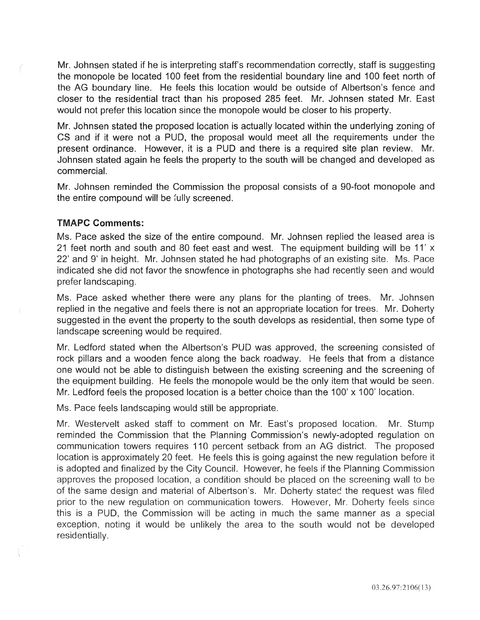Mr. Johnsen stated if he is interpreting staff's recommendation correctly, staff is suggesting the monopole be located 100 feet from the residential boundary line and 100 feet north of the AG boundary line. He feels this location would be outside of Albertson's fence and closer to the residential tract than his proposed 285 feet. Mr. Johnsen stated Mr. East would not prefer this location since the monopole would be closer to his property.

Mr. Johnsen stated the proposed location is actually located within the underlying zoning of CS and if it were not a PUD, the proposal would meet all the requirements under the present ordinance. However, it is a PUD and there is a required site plan review. Mr. Johnsen stated again he feels the property to the south will be changed and developed as commercial.

Mr. Johnsen reminded the Commission the proposal consists of a 90-foot monopole and the entire compound will be fully screened.

#### TMAPC Comments:

Ms. Pace asked the size of the entire compound. Mr. Johnsen replied the leased area is 21 feet north and south and 80 feet east and west. The equipment building will be 11' x 22' and 9' in height. Mr. Johnsen stated he had photographs of an existing site. Ms. Pace indicated she did not favor the snowfence in photographs she had recently seen and would prefer landscaping.

Ms. Pace asked whether there were any plans for the planting of trees. Mr. Johnsen replied in the negative and feels there is not an appropriate location for trees. Mr. Doherty suggested in the event the property to the south develops as residential, then some type of landscape screening would be required.

Mr. Ledford stated when the Albertson's PUD was approved, the screening consisted of rock pillars and a wooden fence along the back roadway. He feels that from a distance one would not be able to distinguish between the existing screening and the screening of the equipment building. He feels the monopole would be the only item that would be seen. Mr. Ledford feels the proposed location is a better choice than the 100' x 100' location.

Ms. Pace feels landscaping would still be appropriate.

Mr. Westervelt asked staff to comment on Mr. East's proposed location. Mr. Stump reminded the Commission that the Planning Commission's newly-adopted regulation on communication towers requires 110 percent setback from an AG district. The proposed location is approximately 20 feet. He feels this is going against the new regulation before it is adopted and finalized by the City Council. However, he feels if the Planning Commission approves the proposed location, a condition should be placed on the screening wall to be of the same design and material of Albertson's. Mr. Doherty stated the request was filed prior to the new regulation on communication towers. However, Mr. Doherty feels since this is a PUD, the Commission will be acting in much the same manner as a special exception, noting it would be unlikely the area to the south would not be developed residentially.